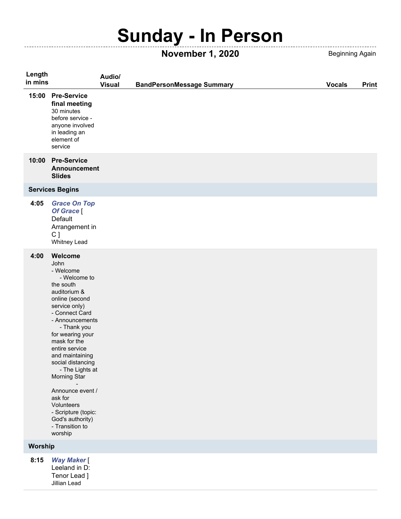## **Sunday - In Person**

**November 1, 2020** Beginning Again

 $- - - -$ 

| Length  |                                                                                                                                                                                                                                                                                                                                                                                                                         | Audio/        |                                  |               |              |
|---------|-------------------------------------------------------------------------------------------------------------------------------------------------------------------------------------------------------------------------------------------------------------------------------------------------------------------------------------------------------------------------------------------------------------------------|---------------|----------------------------------|---------------|--------------|
| in mins |                                                                                                                                                                                                                                                                                                                                                                                                                         | <b>Visual</b> | <b>BandPersonMessage Summary</b> | <b>Vocals</b> | <b>Print</b> |
| 15:00   | <b>Pre-Service</b><br>final meeting<br>30 minutes<br>before service -<br>anyone involved<br>in leading an<br>element of<br>service                                                                                                                                                                                                                                                                                      |               |                                  |               |              |
| 10:00   | <b>Pre-Service</b><br><b>Announcement</b><br><b>Slides</b>                                                                                                                                                                                                                                                                                                                                                              |               |                                  |               |              |
|         | <b>Services Begins</b>                                                                                                                                                                                                                                                                                                                                                                                                  |               |                                  |               |              |
| 4:05    | <b>Grace On Top</b><br>Of Grace [<br>Default<br>Arrangement in<br>C <sub>1</sub><br>Whitney Lead                                                                                                                                                                                                                                                                                                                        |               |                                  |               |              |
| 4:00    | Welcome<br>John<br>- Welcome<br>- Welcome to<br>the south<br>auditorium &<br>online (second<br>service only)<br>- Connect Card<br>- Announcements<br>- Thank you<br>for wearing your<br>mask for the<br>entire service<br>and maintaining<br>social distancing<br>- The Lights at<br>Morning Star<br>Announce event /<br>ask for<br>Volunteers<br>- Scripture (topic:<br>God's authority)<br>- Transition to<br>worship |               |                                  |               |              |
| Worship |                                                                                                                                                                                                                                                                                                                                                                                                                         |               |                                  |               |              |
| 8:15    | <b>Way Maker</b> [<br>Leeland in D:<br>Topor Lood 1                                                                                                                                                                                                                                                                                                                                                                     |               |                                  |               |              |

Tenor Lead ] Jillian Lead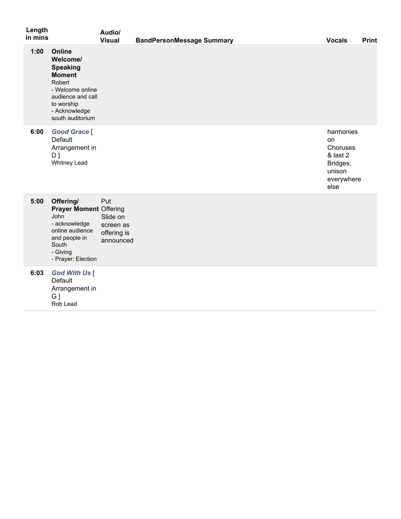| Length<br>in mins |                                                                                                                                                              | Audio/<br><b>Visual</b>                                  | <b>BandPersonMessage Summary</b> | <b>Vocals</b>                                                                       | <b>Print</b> |
|-------------------|--------------------------------------------------------------------------------------------------------------------------------------------------------------|----------------------------------------------------------|----------------------------------|-------------------------------------------------------------------------------------|--------------|
| 1:00              | Online<br>Welcome/<br><b>Speaking</b><br><b>Moment</b><br>Robert<br>- Welcome online<br>audience and call<br>to worship<br>- Acknowledge<br>south auditorium |                                                          |                                  |                                                                                     |              |
| 6:00              | <b>Good Grace</b> [<br>Default<br>Arrangement in<br>$D$ ]<br><b>Whitney Lead</b>                                                                             |                                                          |                                  | harmonies<br>on<br>Choruses<br>& last 2<br>Bridges;<br>unison<br>everywhere<br>else |              |
| 5:00              | Offering/<br><b>Prayer Moment Offering</b><br>John<br>- acknowledge<br>online audience<br>and people in<br>South<br>- Giving<br>- Prayer: Election           | Put<br>Slide on<br>screen as<br>offering is<br>announced |                                  |                                                                                     |              |
| 6:03              | <b>God With Us [</b><br>Default<br>Arrangement in<br>$G$ ]<br>Rob Lead                                                                                       |                                                          |                                  |                                                                                     |              |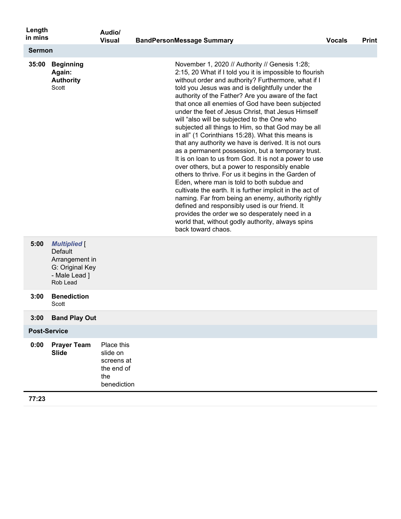| Length<br>in mins   |                                                                                                  | Audio/<br><b>Visual</b>                                                  | <b>BandPersonMessage Summary</b>                                                                                                                                                                                                                                                                                                                                                                                                                                                                                                                                                                                                                                                                                                                                                                                                                                                                                                                                                                                                                                                                                                                                                  | <b>Vocals</b> | <b>Print</b> |
|---------------------|--------------------------------------------------------------------------------------------------|--------------------------------------------------------------------------|-----------------------------------------------------------------------------------------------------------------------------------------------------------------------------------------------------------------------------------------------------------------------------------------------------------------------------------------------------------------------------------------------------------------------------------------------------------------------------------------------------------------------------------------------------------------------------------------------------------------------------------------------------------------------------------------------------------------------------------------------------------------------------------------------------------------------------------------------------------------------------------------------------------------------------------------------------------------------------------------------------------------------------------------------------------------------------------------------------------------------------------------------------------------------------------|---------------|--------------|
| <b>Sermon</b>       |                                                                                                  |                                                                          |                                                                                                                                                                                                                                                                                                                                                                                                                                                                                                                                                                                                                                                                                                                                                                                                                                                                                                                                                                                                                                                                                                                                                                                   |               |              |
| 35:00               | <b>Beginning</b><br>Again:<br><b>Authority</b><br>Scott                                          |                                                                          | November 1, 2020 // Authority // Genesis 1:28;<br>2:15, 20 What if I told you it is impossible to flourish<br>without order and authority? Furthermore, what if I<br>told you Jesus was and is delightfully under the<br>authority of the Father? Are you aware of the fact<br>that once all enemies of God have been subjected<br>under the feet of Jesus Christ, that Jesus Himself<br>will "also will be subjected to the One who<br>subjected all things to Him, so that God may be all<br>in all" (1 Corinthians 15:28). What this means is<br>that any authority we have is derived. It is not ours<br>as a permanent possession, but a temporary trust.<br>It is on loan to us from God. It is not a power to use<br>over others, but a power to responsibly enable<br>others to thrive. For us it begins in the Garden of<br>Eden, where man is told to both subdue and<br>cultivate the earth. It is further implicit in the act of<br>naming. Far from being an enemy, authority rightly<br>defined and responsibly used is our friend. It<br>provides the order we so desperately need in a<br>world that, without godly authority, always spins<br>back toward chaos. |               |              |
| 5:00                | <b>Multiplied</b> [<br>Default<br>Arrangement in<br>G: Original Key<br>- Male Lead ]<br>Rob Lead |                                                                          |                                                                                                                                                                                                                                                                                                                                                                                                                                                                                                                                                                                                                                                                                                                                                                                                                                                                                                                                                                                                                                                                                                                                                                                   |               |              |
| 3:00                | <b>Benediction</b><br>Scott                                                                      |                                                                          |                                                                                                                                                                                                                                                                                                                                                                                                                                                                                                                                                                                                                                                                                                                                                                                                                                                                                                                                                                                                                                                                                                                                                                                   |               |              |
| 3:00                | <b>Band Play Out</b>                                                                             |                                                                          |                                                                                                                                                                                                                                                                                                                                                                                                                                                                                                                                                                                                                                                                                                                                                                                                                                                                                                                                                                                                                                                                                                                                                                                   |               |              |
| <b>Post-Service</b> |                                                                                                  |                                                                          |                                                                                                                                                                                                                                                                                                                                                                                                                                                                                                                                                                                                                                                                                                                                                                                                                                                                                                                                                                                                                                                                                                                                                                                   |               |              |
| 0:00                | <b>Prayer Team</b><br><b>Slide</b>                                                               | Place this<br>slide on<br>screens at<br>the end of<br>the<br>benediction |                                                                                                                                                                                                                                                                                                                                                                                                                                                                                                                                                                                                                                                                                                                                                                                                                                                                                                                                                                                                                                                                                                                                                                                   |               |              |